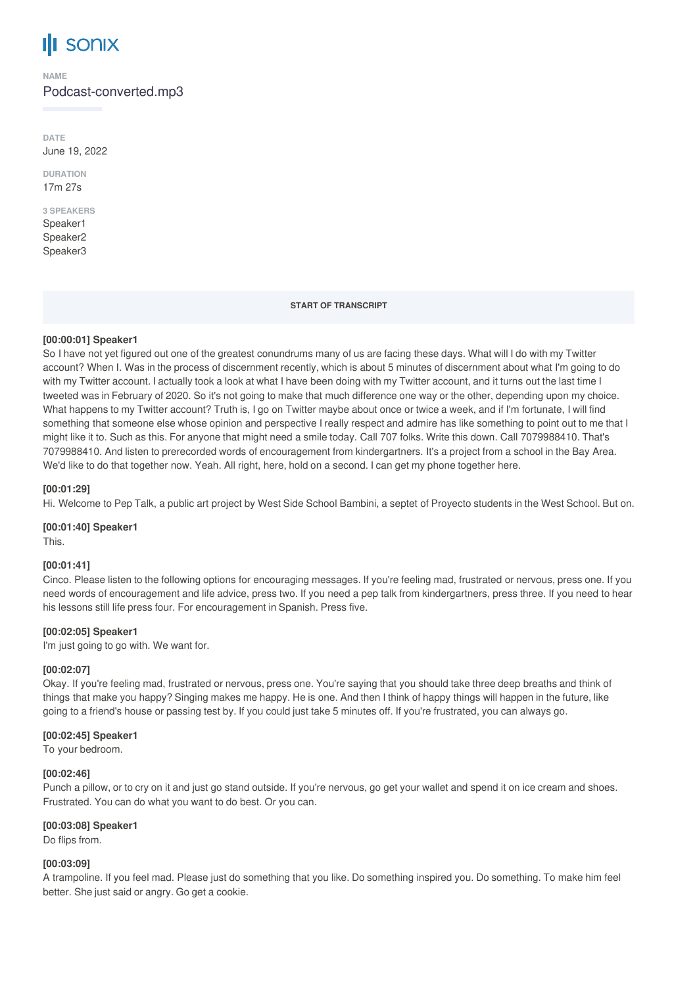# **SONIX**

**NAME**

Podcast-converted.mp3

**DATE** June 19, 2022

**DURATION** 17m 27s

#### **3 SPEAKERS** Speaker1

Speaker2 Speaker3

#### **START OF TRANSCRIPT**

# **[00:00:01] Speaker1**

So I have not yet figured out one of the greatest conundrums many of us are facing these days. What will I do with my Twitter account? When I. Was in the process of discernment recently, which is about 5 minutes of discernment about what I'm going to do with my Twitter account. I actually took a look at what I have been doing with my Twitter account, and it turns out the last time I tweeted was in February of 2020. So it's not going to make that much difference one way or the other, depending upon my choice. What happens to my Twitter account? Truth is, I go on Twitter maybe about once or twice a week, and if I'm fortunate, I will find something that someone else whose opinion and perspective I really respect and admire has like something to point out to me that I might like it to. Such as this. For anyone that might need a smile today. Call 707 folks. Write this down. Call 7079988410. That's 7079988410. And listen to prerecorded words of encouragement from kindergartners. It's a project from a school in the Bay Area. We'd like to do that together now. Yeah. All right, here, hold on a second. I can get my phone together here.

# **[00:01:29]**

Hi. Welcome to Pep Talk, a public art project by West Side School Bambini, a septet of Proyecto students in the West School. But on.

# **[00:01:40] Speaker1**

This.

# **[00:01:41]**

Cinco. Please listen to the following options for encouraging messages. If you're feeling mad, frustrated or nervous, press one. If you need words of encouragement and life advice, press two. If you need a pep talk from kindergartners, press three. If you need to hear his lessons still life press four. For encouragement in Spanish. Press five.

# **[00:02:05] Speaker1**

I'm just going to go with. We want for.

# **[00:02:07]**

Okay. If you're feeling mad, frustrated or nervous, press one. You're saying that you should take three deep breaths and think of things that make you happy? Singing makes me happy. He is one. And then I think of happy things will happen in the future, like going to a friend's house or passing test by. If you could just take 5 minutes off. If you're frustrated, you can always go.

# **[00:02:45] Speaker1**

To your bedroom.

# **[00:02:46]**

Punch a pillow, or to cry on it and just go stand outside. If you're nervous, go get your wallet and spend it on ice cream and shoes. Frustrated. You can do what you want to do best. Or you can.

# **[00:03:08] Speaker1**

Do flips from.

# **[00:03:09]**

A trampoline. If you feel mad. Please just do something that you like. Do something inspired you. Do something. To make him feel better. She just said or angry. Go get a cookie.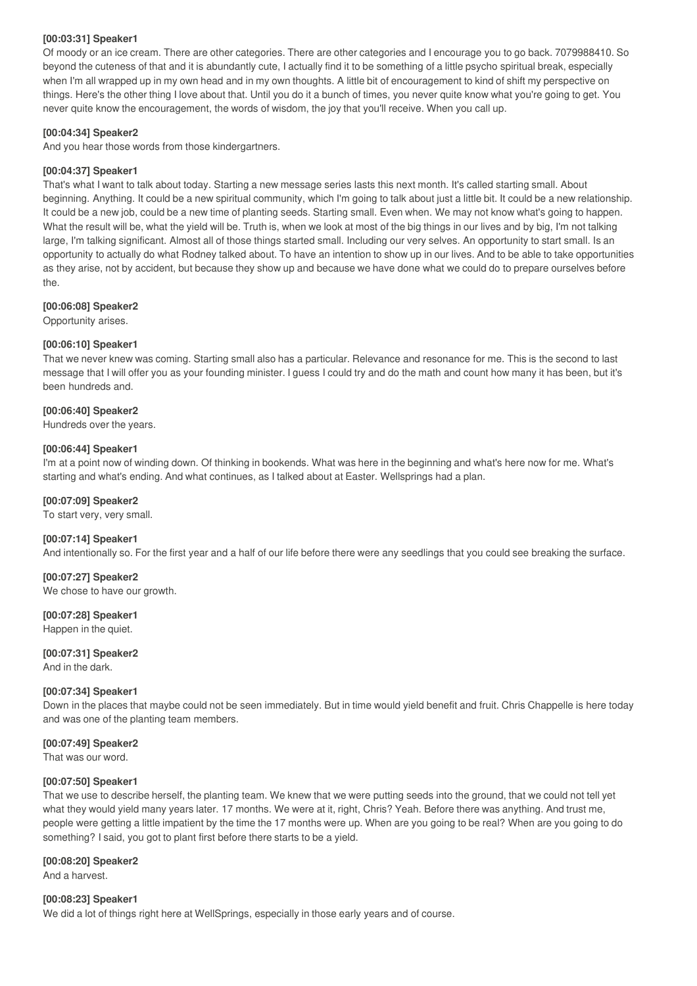### **[00:03:31] Speaker1**

Of moody or an ice cream. There are other categories. There are other categories and I encourage you to go back. 7079988410. So beyond the cuteness of that and it is abundantly cute, I actually find it to be something of a little psycho spiritual break, especially when I'm all wrapped up in my own head and in my own thoughts. A little bit of encouragement to kind of shift my perspective on things. Here's the other thing I love about that. Until you do it a bunch of times, you never quite know what you're going to get. You never quite know the encouragement, the words of wisdom, the joy that you'll receive. When you call up.

# **[00:04:34] Speaker2**

And you hear those words from those kindergartners.

#### **[00:04:37] Speaker1**

That's what I want to talk about today. Starting a new message series lasts this next month. It's called starting small. About beginning. Anything. It could be a new spiritual community, which I'm going to talk about just a little bit. It could be a new relationship. It could be a new job, could be a new time of planting seeds. Starting small. Even when. We may not know what's going to happen. What the result will be, what the yield will be. Truth is, when we look at most of the big things in our lives and by big, I'm not talking large, I'm talking significant. Almost all of those things started small. Including our very selves. An opportunity to start small. Is an opportunity to actually do what Rodney talked about. To have an intention to show up in our lives. And to be able to take opportunities as they arise, not by accident, but because they show up and because we have done what we could do to prepare ourselves before the.

#### **[00:06:08] Speaker2**

Opportunity arises.

#### **[00:06:10] Speaker1**

That we never knew was coming. Starting small also has a particular. Relevance and resonance for me. This is the second to last message that I will offer you as your founding minister. I guess I could try and do the math and count how many it has been, but it's been hundreds and.

#### **[00:06:40] Speaker2**

Hundreds over the years.

#### **[00:06:44] Speaker1**

I'm at a point now of winding down. Of thinking in bookends. What was here in the beginning and what's here now for me. What's starting and what's ending. And what continues, as I talked about at Easter. Wellsprings had a plan.

#### **[00:07:09] Speaker2**

To start very, very small.

#### **[00:07:14] Speaker1**

And intentionally so. For the first year and a half of our life before there were any seedlings that you could see breaking the surface.

#### **[00:07:27] Speaker2**

We chose to have our growth.

# **[00:07:28] Speaker1**

Happen in the quiet.

# **[00:07:31] Speaker2**

And in the dark.

#### **[00:07:34] Speaker1**

Down in the places that maybe could not be seen immediately. But in time would yield benefit and fruit. Chris Chappelle is here today and was one of the planting team members.

#### **[00:07:49] Speaker2**

That was our word.

#### **[00:07:50] Speaker1**

That we use to describe herself, the planting team. We knew that we were putting seeds into the ground, that we could not tell yet what they would yield many years later. 17 months. We were at it, right, Chris? Yeah. Before there was anything. And trust me, people were getting a little impatient by the time the 17 months were up. When are you going to be real? When are you going to do something? I said, you got to plant first before there starts to be a yield.

#### **[00:08:20] Speaker2**

And a harvest.

#### **[00:08:23] Speaker1**

We did a lot of things right here at WellSprings, especially in those early years and of course.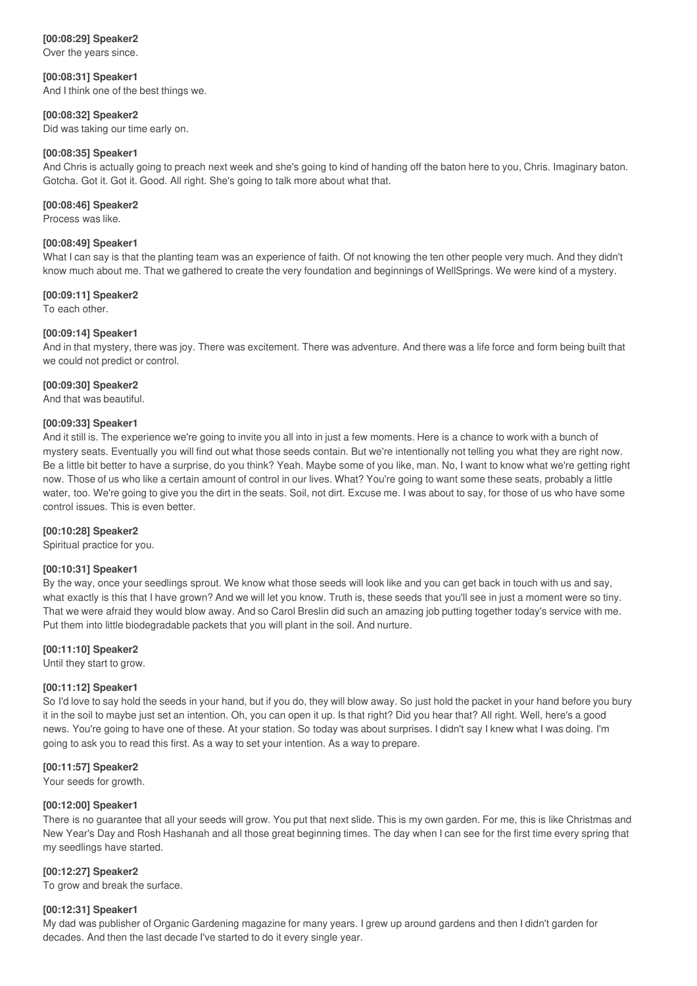# **[00:08:29] Speaker2**

Over the years since.

**[00:08:31] Speaker1** And I think one of the best things we.

#### **[00:08:32] Speaker2**

Did was taking our time early on.

#### **[00:08:35] Speaker1**

And Chris is actually going to preach next week and she's going to kind of handing off the baton here to you, Chris. Imaginary baton. Gotcha. Got it. Got it. Good. All right. She's going to talk more about what that.

#### **[00:08:46] Speaker2**

Process was like.

### **[00:08:49] Speaker1**

What I can say is that the planting team was an experience of faith. Of not knowing the ten other people very much. And they didn't know much about me. That we gathered to create the very foundation and beginnings of WellSprings. We were kind of a mystery.

#### **[00:09:11] Speaker2**

To each other.

#### **[00:09:14] Speaker1**

And in that mystery, there was joy. There was excitement. There was adventure. And there was a life force and form being built that we could not predict or control.

#### **[00:09:30] Speaker2**

And that was beautiful.

#### **[00:09:33] Speaker1**

And it still is. The experience we're going to invite you all into in just a few moments. Here is a chance to work with a bunch of mystery seats. Eventually you will find out what those seeds contain. But we're intentionally not telling you what they are right now. Be a little bit better to have a surprise, do you think? Yeah. Maybe some of you like, man. No, I want to know what we're getting right now. Those of us who like a certain amount of control in our lives. What? You're going to want some these seats, probably a little water, too. We're going to give you the dirt in the seats. Soil, not dirt. Excuse me. I was about to say, for those of us who have some control issues. This is even better.

#### **[00:10:28] Speaker2**

Spiritual practice for you.

#### **[00:10:31] Speaker1**

By the way, once your seedlings sprout. We know what those seeds will look like and you can get back in touch with us and say, what exactly is this that I have grown? And we will let you know. Truth is, these seeds that you'll see in just a moment were so tiny. That we were afraid they would blow away. And so Carol Breslin did such an amazing job putting together today's service with me. Put them into little biodegradable packets that you will plant in the soil. And nurture.

# **[00:11:10] Speaker2**

Until they start to grow.

#### **[00:11:12] Speaker1**

So I'd love to say hold the seeds in your hand, but if you do, they will blow away. So just hold the packet in your hand before you bury it in the soil to maybe just set an intention. Oh, you can open it up. Is that right? Did you hear that? All right. Well, here's a good news. You're going to have one of these. At your station. So today was about surprises. I didn't say I knew what I was doing. I'm going to ask you to read this first. As a way to set your intention. As a way to prepare.

# **[00:11:57] Speaker2**

Your seeds for growth.

#### **[00:12:00] Speaker1**

There is no guarantee that all your seeds will grow. You put that next slide. This is my own garden. For me, this is like Christmas and New Year's Day and Rosh Hashanah and all those great beginning times. The day when I can see for the first time every spring that my seedlings have started.

# **[00:12:27] Speaker2**

To grow and break the surface.

#### **[00:12:31] Speaker1**

My dad was publisher of Organic Gardening magazine for many years. I grew up around gardens and then I didn't garden for decades. And then the last decade I've started to do it every single year.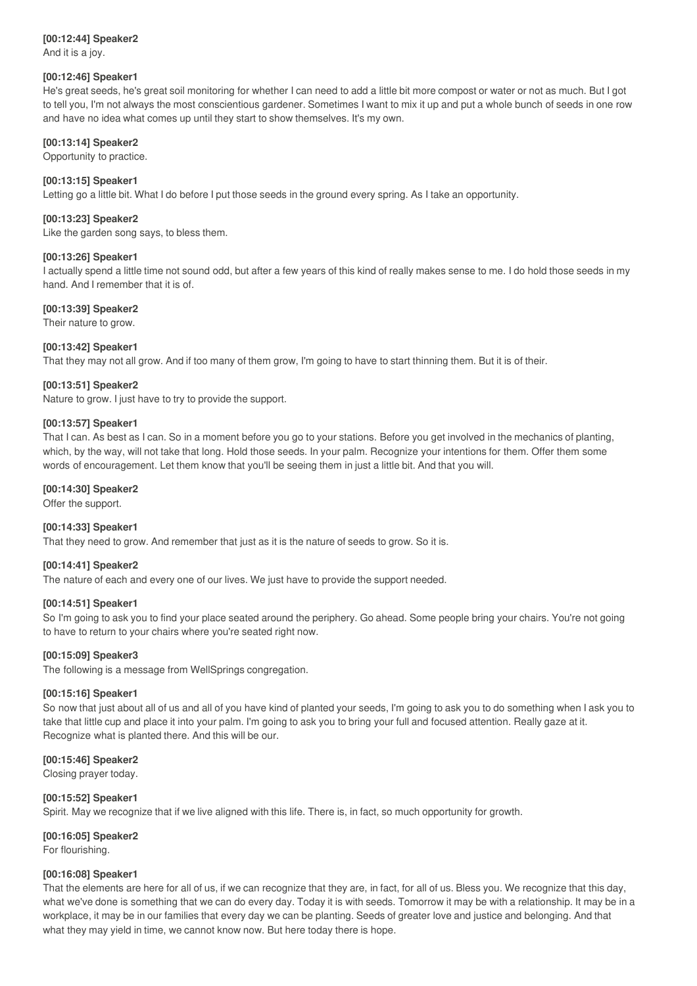# **[00:12:44] Speaker2**

And it is a joy.

# **[00:12:46] Speaker1**

He's great seeds, he's great soil monitoring for whether I can need to add a little bit more compost or water or not as much. But I got to tell you, I'm not always the most conscientious gardener. Sometimes I want to mix it up and put a whole bunch of seeds in one row and have no idea what comes up until they start to show themselves. It's my own.

# **[00:13:14] Speaker2**

Opportunity to practice.

# **[00:13:15] Speaker1**

Letting go a little bit. What I do before I put those seeds in the ground every spring. As I take an opportunity.

# **[00:13:23] Speaker2**

Like the garden song says, to bless them.

# **[00:13:26] Speaker1**

I actually spend a little time not sound odd, but after a few years of this kind of really makes sense to me. I do hold those seeds in my hand. And I remember that it is of.

# **[00:13:39] Speaker2**

Their nature to grow.

# **[00:13:42] Speaker1**

That they may not all grow. And if too many of them grow, I'm going to have to start thinning them. But it is of their.

# **[00:13:51] Speaker2**

Nature to grow. I just have to try to provide the support.

# **[00:13:57] Speaker1**

That I can. As best as I can. So in a moment before you go to your stations. Before you get involved in the mechanics of planting, which, by the way, will not take that long. Hold those seeds. In your palm. Recognize your intentions for them. Offer them some words of encouragement. Let them know that you'll be seeing them in just a little bit. And that you will.

#### **[00:14:30] Speaker2**

Offer the support.

# **[00:14:33] Speaker1**

That they need to grow. And remember that just as it is the nature of seeds to grow. So it is.

# **[00:14:41] Speaker2**

The nature of each and every one of our lives. We just have to provide the support needed.

# **[00:14:51] Speaker1**

So I'm going to ask you to find your place seated around the periphery. Go ahead. Some people bring your chairs. You're not going to have to return to your chairs where you're seated right now.

# **[00:15:09] Speaker3**

The following is a message from WellSprings congregation.

#### **[00:15:16] Speaker1**

So now that just about all of us and all of you have kind of planted your seeds, I'm going to ask you to do something when I ask you to take that little cup and place it into your palm. I'm going to ask you to bring your full and focused attention. Really gaze at it. Recognize what is planted there. And this will be our.

# **[00:15:46] Speaker2**

Closing prayer today.

# **[00:15:52] Speaker1**

Spirit. May we recognize that if we live aligned with this life. There is, in fact, so much opportunity for growth.

# **[00:16:05] Speaker2**

For flourishing.

# **[00:16:08] Speaker1**

That the elements are here for all of us, if we can recognize that they are, in fact, for all of us. Bless you. We recognize that this day, what we've done is something that we can do every day. Today it is with seeds. Tomorrow it may be with a relationship. It may be in a workplace, it may be in our families that every day we can be planting. Seeds of greater love and justice and belonging. And that what they may yield in time, we cannot know now. But here today there is hope.